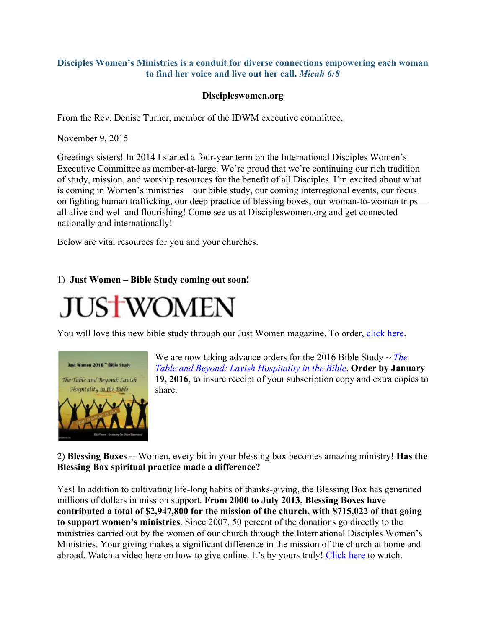## **Disciples Women's Ministries is a conduit for diverse connections empowering each woman to find her voice and live out her call.** *Micah 6:8*

## **Discipleswomen.org**

From the Rev. Denise Turner, member of the IDWM executive committee,

November 9, 2015

Greetings sisters! In 2014 I started a four-year term on the International Disciples Women's Executive Committee as member-at-large. We're proud that we're continuing our rich tradition of study, mission, and worship resources for the benefit of all Disciples. I'm excited about what is coming in Women's ministries—our bible study, our coming interregional events, our focus on fighting human trafficking, our deep practice of blessing boxes, our woman-to-woman trips all alive and well and flourishing! Come see us at Discipleswomen.org and get connected nationally and internationally!

Below are vital resources for you and your churches.

## 1) **Just Women – Bible Study coming out soon!**

## **JUSTWOMEN**

You will love this new bible study through our Just Women magazine. To order, click here.



We are now taking advance orders for the 2016 Bible Study ~ *The Table and Beyond: Lavish Hospitality in the Bible*. **Order by January 19, 2016**, to insure receipt of your subscription copy and extra copies to share.

2) **Blessing Boxes --** Women, every bit in your blessing box becomes amazing ministry! **Has the Blessing Box spiritual practice made a difference?**

Yes! In addition to cultivating life-long habits of thanks-giving, the Blessing Box has generated millions of dollars in mission support. **From 2000 to July 2013, Blessing Boxes have contributed a total of \$2,947,800 for the mission of the church, with \$715,022 of that going to support women's ministries**. Since 2007, 50 percent of the donations go directly to the ministries carried out by the women of our church through the International Disciples Women's Ministries. Your giving makes a significant difference in the mission of the church at home and abroad. Watch a video here on how to give online. It's by yours truly! Click here to watch.